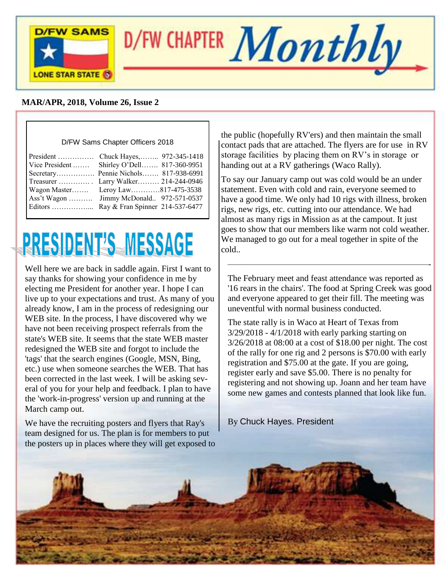

### **MAR/APR, 2018, Volume 26, Issue 2**

#### D/FW Sams Chapter Officers 2018

| President  Chuck Hayes, 972-345-1418<br>Vice President  Shirley O'Dell 817-360-9951  |  |
|--------------------------------------------------------------------------------------|--|
| Secretary Pennie Nichols 817-938-6991                                                |  |
| Treasurer  Larry Walker 214-244-0946<br>Wagon Master Leroy Law817-475-3538           |  |
| Ass't Wagon  Jimmy McDonald 972-571-0537<br>Editors  Ray & Fran Spinner 214-537-6477 |  |

# **PRESIDENT'S MESSAGE**

Well here we are back in saddle again. First I want to say thanks for showing your confidence in me by electing me President for another year. I hope I can live up to your expectations and trust. As many of you already know, I am in the process of redesigning our WEB site. In the process, I have discovered why we have not been receiving prospect referrals from the state's WEB site. It seems that the state WEB master redesigned the WEB site and forgot to include the 'tags' that the search engines (Google, MSN, Bing, etc.) use when someone searches the WEB. That has been corrected in the last week. I will be asking several of you for your help and feedback. I plan to have the 'work-in-progress' version up and running at the March camp out.

We have the recruiting posters and flyers that Ray's team designed for us. The plan is for members to put the posters up in places where they will get exposed to

the public (hopefully RV'ers) and then maintain the small contact pads that are attached. The flyers are for use in RV storage facilities by placing them on RV's in storage or handing out at a RV gatherings (Waco Rally).

To say our January camp out was cold would be an under statement. Even with cold and rain, everyone seemed to have a good time. We only had 10 rigs with illness, broken rigs, new rigs, etc. cutting into our attendance. We had almost as many rigs in Mission as at the campout. It just goes to show that our members like warm not cold weather. We managed to go out for a meal together in spite of the cold..

The February meet and feast attendance was reported as '16 rears in the chairs'. The food at Spring Creek was good and everyone appeared to get their fill. The meeting was uneventful with normal business conducted.

———————————————————————-

The state rally is in Waco at Heart of Texas from 3/29/2018 - 4/1/2018 with early parking starting on 3/26/2018 at 08:00 at a cost of \$18.00 per night. The cost of the rally for one rig and 2 persons is \$70.00 with early registration and \$75.00 at the gate. If you are going, register early and save \$5.00. There is no penalty for registering and not showing up. Joann and her team have some new games and contests planned that look like fun.

By Chuck Hayes. President

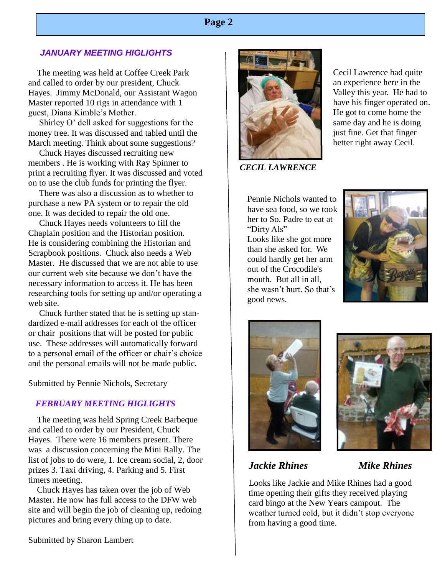# **Page 2**

#### *JANUARY MEETING HIGLIGHTS*

 The meeting was held at Coffee Creek Park and called to order by our president, Chuck Hayes. Jimmy McDonald, our Assistant Wagon Master reported 10 rigs in attendance with 1 guest, Diana Kimble's Mother.

 Shirley O' dell asked for suggestions for the money tree. It was discussed and tabled until the March meeting. Think about some suggestions?

 Chuck Hayes discussed recruiting new members . He is working with Ray Spinner to print a recruiting flyer. It was discussed and voted on to use the club funds for printing the flyer.

 There was also a discussion as to whether to purchase a new PA system or to repair the old one. It was decided to repair the old one.

 Chuck Hayes needs volunteers to fill the Chaplain position and the Historian position. He is considering combining the Historian and Scrapbook positions. Chuck also needs a Web Master. He discussed that we are not able to use our current web site because we don't have the necessary information to access it. He has been researching tools for setting up and/or operating a web site.

 Chuck further stated that he is setting up standardized e-mail addresses for each of the officer or chair positions that will be posted for public use. These addresses will automatically forward to a personal email of the officer or chair's choice and the personal emails will not be made public.

Submitted by Pennie Nichols, Secretary

#### *FEBRUARY MEETING HIGLIGHTS*

 The meeting was held Spring Creek Barbeque and called to order by our President, Chuck Hayes. There were 16 members present. There was a discussion concerning the Mini Rally. The list of jobs to do were, 1. Ice cream social, 2, door prizes 3. Taxi driving, 4. Parking and 5. First timers meeting.

 Chuck Hayes has taken over the job of Web Master. He now has full access to the DFW web site and will begin the job of cleaning up, redoing pictures and bring every thing up to date.

Submitted by Sharon Lambert



*CECIL LAWRENCE* 

 Cecil Lawrence had quite an experience here in the Valley this year. He had to have his finger operated on. He got to come home the same day and he is doing just fine. Get that finger better right away Cecil.

Pennie Nichols wanted to have sea food, so we took her to So. Padre to eat at "Dirty Als" Looks like she got more than she asked for. We could hardly get her arm out of the Crocodile's mouth. But all in all, she wasn't hurt. So that's good news.







# *Jackie Rhines Mike Rhines*

Looks like Jackie and Mike Rhines had a good time opening their gifts they received playing card bingo at the New Years campout. The weather turned cold, but it didn't stop everyone from having a good time.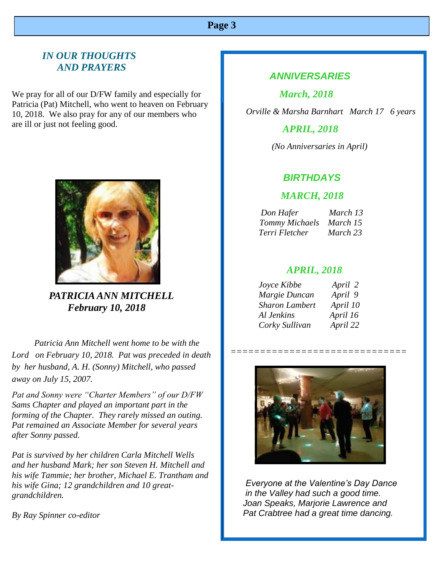# **Page 3**

# *IN OUR THOUGHTS AND PRAYERS*

We pray for all of our D/FW family and especially for Patricia (Pat) Mitchell, who went to heaven on February 10, 2018. We also pray for any of our members who are ill or just not feeling good.



 *PATRICIA ANN MITCHELL February 10, 2018*

 *Patricia Ann Mitchell went home to be with the Lord on February 10, 2018. Pat was preceded in death by her husband, A. H. (Sonny) Mitchell, who passed away on July 15, 2007.*

*Pat and Sonny were "Charter Members" of our D/FW Sams Chapter and played an important part in the forming of the Chapter. They rarely missed an outing. Pat remained an Associate Member for several years after Sonny passed.*

*Pat is survived by her children Carla Mitchell Wells and her husband Mark; her son Steven H. Mitchell and his wife Tammie; her brother, Michael E. Trantham and his wife Gina; 12 grandchildren and 10 greatgrandchildren.*

*By Ray Spinner co-editor*

## *ANNIVERSARIES*

 *March, 2018*

 *Orville & Marsha Barnhart March 17 6 years*

### *APRIL, 2018*

 *(No Anniversaries in April)*

### *BIRTHDAYS*

#### *MARCH, 2018*

| Don Hafer               | March 13 |
|-------------------------|----------|
| Tommy Michaels March 15 |          |
| Terri Fletcher          | March 23 |

#### *APRIL, 2018*

| Joyce Kibbe           | April 2  |
|-----------------------|----------|
| Margie Duncan         | April 9  |
| <b>Sharon Lambert</b> | April 10 |
| Al Jenkins            | April 16 |
| Corky Sullivan        | April 22 |



 *==============================* 

 *Everyone at the Valentine's Day Dance in the Valley had such a good time. Joan Speaks, Marjorie Lawrence and Pat Crabtree had a great time dancing.*